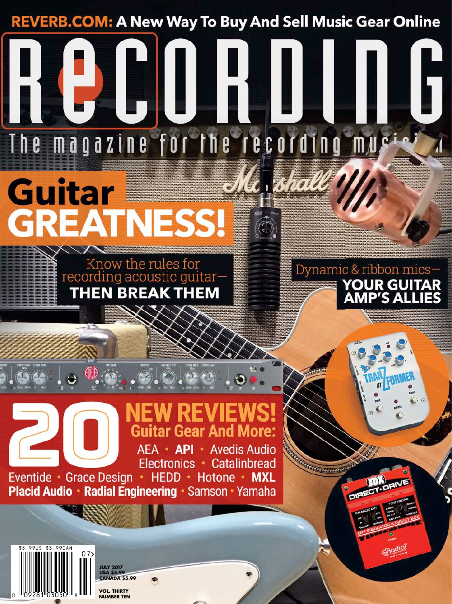**REVERB.COM: A New Way To Buy And Sell Music Gear Online** 

magazine for the recording mu

## Me shall **Guitar GREATNESS!**

T h e



Dynamic & ribbon mics-**YOUR GUITAR AMP'S ALLIES** 

**CRodio** 

## **Guitar Gear And More:** AEA · API · Avedis Audio

Electronics · Catalinbread Eventide · Grace Design · HEDD · Hotone · MXL **Placid Audio · Radial Engineering · Samson · Yamaha** 



**JULY 2017 USA \$5.99 CANADA \$5.99**

**VOL. THIRTY NUMBER TEN**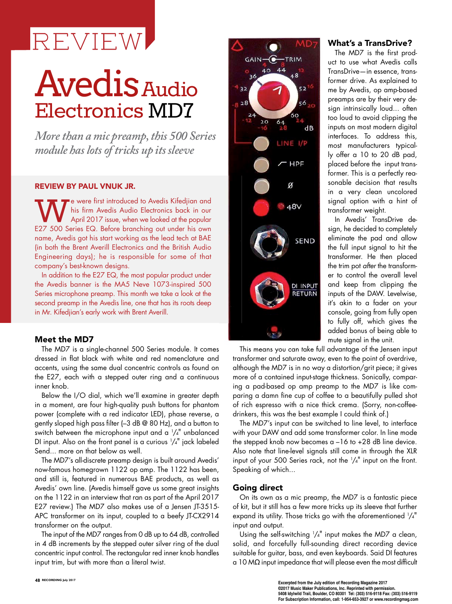# REVIEW

# **Avedis** Audio Electronics MD7

*More than a mic preamp, this 500 Series module has lots of tricks up its sleeve*

### REVIEW BY PAUL VNUK JR.

We were first introduced to Avedis Kifedjian and<br>his firm Avedis Audio Electronics back in our<br>E27 500 Series EQ. Before branching out under his own his firm Avedis Audio Electronics back in our April 2017 issue, when we looked at the popular E27 500 Series EQ. Before branching out under his own name, Avedis got his start working as the lead tech at BAE (in both the Brent Averill Electronics and the British Audio Engineering days); he is responsible for some of that company's best-known designs.

In addition to the E27 EQ, the most popular product under the Avedis banner is the MA5 Neve 1073-inspired 500 Series microphone preamp. This month we take a look at the second preamp in the Avedis line, one that has its roots deep in Mr. Kifedjian's early work with Brent Averill.

#### Meet the MD7

The MD7 is a single-channel 500 Series module. It comes dressed in flat black with white and red nomenclature and accents, using the same dual concentric controls as found on the E27, each with a stepped outer ring and a continuous inner knob.

Below the I/O dial, which we'll examine in greater depth in a moment, are four high-quality push buttons for phantom power (complete with a red indicator LED), phase reverse, a gently sloped high pass filter (–3 dB @ 80 Hz), and a button to switch between the microphone input and a  $1/4$ <sup>"</sup> unbalanced DI input. Also on the front panel is a curious  $1/4$ <sup>"</sup> jack labeled Send... more on that below as well.

The MD7's all-discrete preamp design is built around Avedis' now-famous homegrown 1122 op amp. The 1122 has been, and still is, featured in numerous BAE products, as well as Avedis' own line. (Avedis himself gave us some great insights on the 1122 in an interview that ran as part of the April 2017 E27 review.) The MD7 also makes use of a Jensen JT-3515- APC transformer on its input, coupled to a beefy JT-CX2914 transformer on the output.

The input of the MD7 ranges from 0 dB up to 64 dB, controlled in 4 dB increments by the stepped outer silver ring of the dual concentric input control. The rectangular red inner knob handles input trim, but with more than a literal twist.



#### What's a TransDrive?

The MD7 is the first product to use what Avedis calls TransDrive—in essence, transformer drive. As explained to me by Avedis, op amp-based preamps are by their very design intrinsically loud... often too loud to avoid clipping the inputs on most modern digital interfaces. To address this, most manufacturers typically offer a 10 to 20 dB pad, placed before the input transformer. This is a perfectly reasonable decision that results in a very clean uncolored signal option with a hint of transformer weight.

In Avedis' TransDrive design, he decided to completely eliminate the pad and allow the full input signal to hit the transformer. He then placed the trim pot *after* the transformer to control the overall level and keep from clipping the inputs of the DAW. Levelwise, it's akin to a fader on your console, going from fully open to fully off, which gives the added bonus of being able to mute signal in the unit.

This means you can take full advantage of the Jensen input transformer and saturate away, even to the point of overdrive, although the MD7 is in no way a distortion/grit piece; it gives more of a contained input-stage thickness. Sonically, comparing a pad-based op amp preamp to the MD7 is like comparing a damn fine cup of coffee to a beautifully pulled shot of rich espresso with a nice thick crema. (Sorry, non-coffeedrinkers, this was the best example I could think of.)

The MD7's input can be switched to line level, to interface with your DAW and add some transformer color. In line mode the stepped knob now becomes a –16 to +28 dB line device. Also note that line-level signals still come in through the XLR input of your 500 Series rack, not the  $1/4$ " input on the front. Speaking of which...

### Going direct

On its own as a mic preamp, the MD7 is a fantastic piece of kit, but it still has a few more tricks up its sleeve that further expand its utility. Those tricks go with the aforementioned  $1/4$ " input and output.

Using the self-switching  $1/4$ " input makes the MD7 a clean, solid, and forcefully full-sounding direct recording device suitable for guitar, bass, and even keyboards. Said DI features a 10 MΩ input impedance that will please even the most difficult